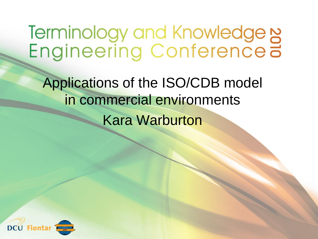Terminology and Knowledge N<br>Engineering Conference a

Applications of the ISO/CDB model in commercial environments Kara Warburton

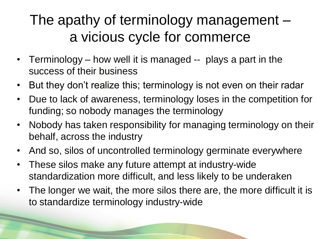#### The apathy of terminology management – a vicious cycle for commerce

- Terminology how well it is managed -- plays a part in the success of their business
- But they don't realize this; terminology is not even on their radar
- Due to lack of awareness, terminology loses in the competition for funding; so nobody manages the terminology
- Nobody has taken responsibility for managing terminology on their behalf, across the industry
- And so, silos of uncontrolled terminology germinate everywhere
- These silos make any future attempt at industry-wide standardization more difficult, and less likely to be underaken

• The longer we wait, the more silos there are, the more difficult it is to standardize terminology industry-wide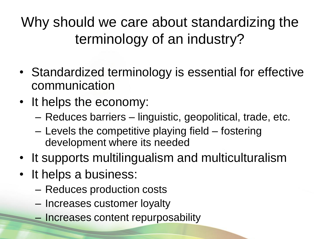Why should we care about standardizing the terminology of an industry?

- Standardized terminology is essential for effective communication
- It helps the economy:
	- Reduces barriers linguistic, geopolitical, trade, etc.
	- Levels the competitive playing field fostering development where its needed
- It supports multilingualism and multiculturalism
- It helps a business:
	- Reduces production costs
	- Increases customer loyalty
	- Increases content repurposability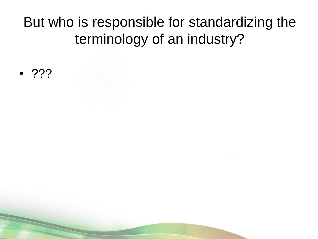#### But who is responsible for standardizing the terminology of an industry?

• ???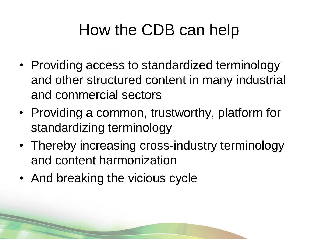### How the CDB can help

- Providing access to standardized terminology and other structured content in many industrial and commercial sectors
- Providing a common, trustworthy, platform for standardizing terminology
- Thereby increasing cross-industry terminology and content harmonization
- And breaking the vicious cycle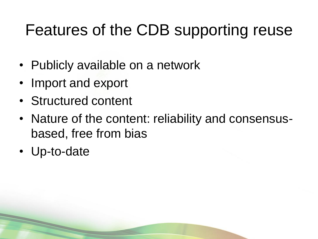### Features of the CDB supporting reuse

- Publicly available on a network
- Import and export
- Structured content
- Nature of the content: reliability and consensusbased, free from bias
- Up-to-date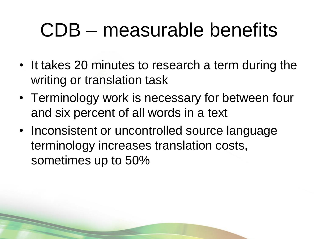## CDB – measurable benefits

- It takes 20 minutes to research a term during the writing or translation task
- Terminology work is necessary for between four and six percent of all words in a text
- Inconsistent or uncontrolled source language terminology increases translation costs, sometimes up to 50%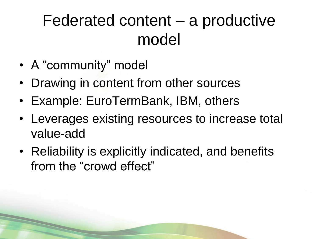### Federated content – a productive model

- A "community" model
- Drawing in content from other sources
- Example: EuroTermBank, IBM, others
- Leverages existing resources to increase total value-add
- Reliability is explicitly indicated, and benefits from the "crowd effect"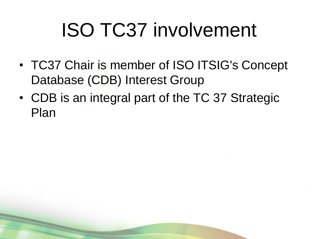# ISO TC37 involvement

- TC37 Chair is member of ISO ITSIG's Concept Database (CDB) Interest Group
- CDB is an integral part of the TC 37 Strategic Plan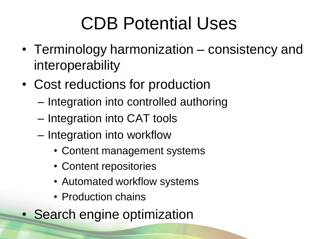### CDB Potential Uses

- Terminology harmonization consistency and interoperability
- Cost reductions for production
	- Integration into controlled authoring
	- Integration into CAT tools
	- Integration into workflow
		- Content management systems
		- Content repositories
		- Automated workflow systems
		- Production chains
- Search engine optimization